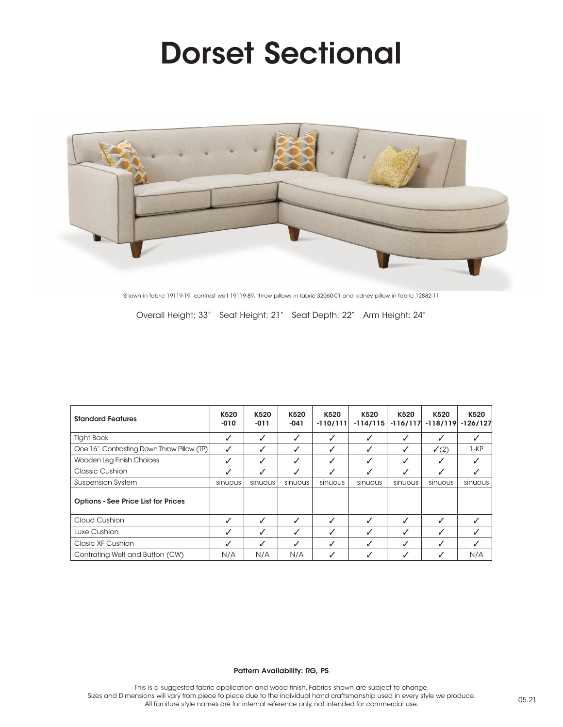## Dorset Sectional



Shown in fabric 19119-19, contrast welt 19119-89, throw pillows in fabric 32060-01 and kidney pillow in fabric 12882-11

Overall Height: 33" Seat Height: 21" Seat Depth: 22" Arm Height: 24"

| <b>Standard Features</b>                   | K520<br>$-010$ | K520<br>-011 | K520<br>$-041$ | K520<br>$-110/111$ | K520<br>$-114/115$ | K520<br>$-116/117$ | K520<br>$-118/119$ | K520<br>$-126/127$ |
|--------------------------------------------|----------------|--------------|----------------|--------------------|--------------------|--------------------|--------------------|--------------------|
| <b>Tight Back</b>                          | ℐ              | ✓            | ✓              | $\checkmark$       | J                  | $\checkmark$       | ✓                  | J                  |
| One 16" Contrasting Down Throw Pillow (TP) | ✓              | ✓            | ✓              | ✓                  | ✓                  | ✓                  | $\checkmark$ (2)   | $1-KP$             |
| Wooden Leg Finish Choices                  | ✓              | ✓            | ✓              | ✓                  | ✓                  | ✓                  | ✓                  | ✓                  |
| <b>Classic Cushion</b>                     |                | ✓            | ✓              | ✓                  | J                  | $\checkmark$       | $\checkmark$       | J                  |
| <b>Suspension System</b>                   | sinuous        | sinuous      | sinuous        | sinuous            | sinuous            | sinuous            | sinuous            | sinuous            |
| <b>Options - See Price List for Prices</b> |                |              |                |                    |                    |                    |                    |                    |
| Cloud Cushion                              | ✓              | ✓            | ✓              | ✓                  |                    | ✓                  | ✓                  |                    |
| Luxe Cushion                               | ✓              | ✓            | ✓              | ✓                  | ℐ                  | ✓                  | ✓                  | J                  |
| Clasic XF Cushion                          |                | ✓            |                | ✓                  | J                  | J                  | J                  | √                  |
| Contrating Welt and Button (CW)            | N/A            | N/A          | N/A            | √                  |                    |                    | $\checkmark$       | N/A                |

## Pattern Availability: RG, PS